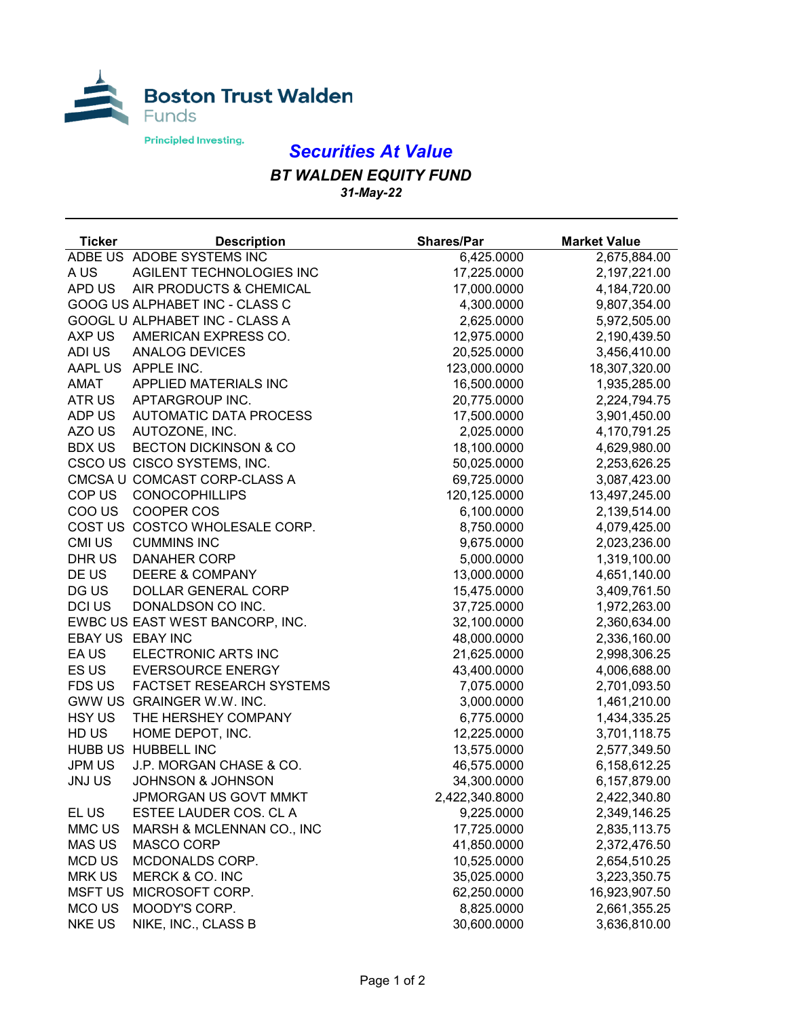

## *Securities At Value*

*BT WALDEN EQUITY FUND 31-May-22*

| <b>Ticker</b>  | <b>Description</b>               | <b>Shares/Par</b> | <b>Market Value</b> |
|----------------|----------------------------------|-------------------|---------------------|
|                | ADBE US ADOBE SYSTEMS INC        | 6,425.0000        | 2,675,884.00        |
| A US           | AGILENT TECHNOLOGIES INC         | 17,225.0000       | 2,197,221.00        |
| APD US         | AIR PRODUCTS & CHEMICAL          | 17,000.0000       | 4,184,720.00        |
|                | GOOG US ALPHABET INC - CLASS C   | 4,300.0000        | 9,807,354.00        |
|                | GOOGL U ALPHABET INC - CLASS A   | 2,625.0000        | 5,972,505.00        |
| AXP US         | AMERICAN EXPRESS CO.             | 12,975.0000       | 2,190,439.50        |
| ADI US         | ANALOG DEVICES                   | 20,525.0000       | 3,456,410.00        |
|                | AAPL US APPLE INC.               | 123,000.0000      | 18,307,320.00       |
| AMAT           | APPLIED MATERIALS INC            | 16,500.0000       | 1,935,285.00        |
| ATR US         | APTARGROUP INC.                  | 20,775.0000       | 2,224,794.75        |
| ADP US         | <b>AUTOMATIC DATA PROCESS</b>    | 17,500.0000       | 3,901,450.00        |
| AZO US         | AUTOZONE, INC.                   | 2,025.0000        | 4,170,791.25        |
| <b>BDX US</b>  | <b>BECTON DICKINSON &amp; CO</b> | 18,100.0000       | 4,629,980.00        |
|                | CSCO US CISCO SYSTEMS, INC.      | 50,025.0000       | 2,253,626.25        |
|                | CMCSA U COMCAST CORP-CLASS A     | 69,725.0000       | 3,087,423.00        |
| COP US         | <b>CONOCOPHILLIPS</b>            | 120,125.0000      | 13,497,245.00       |
| COO US         | COOPER COS                       | 6,100.0000        | 2,139,514.00        |
|                | COST US COSTCO WHOLESALE CORP.   | 8,750.0000        | 4,079,425.00        |
| <b>CMI US</b>  | <b>CUMMINS INC</b>               | 9,675.0000        | 2,023,236.00        |
| DHR US         | <b>DANAHER CORP</b>              | 5,000.0000        | 1,319,100.00        |
| DE US          | <b>DEERE &amp; COMPANY</b>       | 13,000.0000       | 4,651,140.00        |
| DG US          | DOLLAR GENERAL CORP              | 15,475.0000       | 3,409,761.50        |
| DCI US         | DONALDSON CO INC.                | 37,725.0000       | 1,972,263.00        |
|                | EWBC US EAST WEST BANCORP, INC.  | 32,100.0000       | 2,360,634.00        |
|                | EBAY US EBAY INC                 | 48,000.0000       | 2,336,160.00        |
| EA US          | ELECTRONIC ARTS INC              | 21,625.0000       | 2,998,306.25        |
| ES US          | <b>EVERSOURCE ENERGY</b>         | 43,400.0000       | 4,006,688.00        |
| FDS US         | <b>FACTSET RESEARCH SYSTEMS</b>  | 7,075.0000        | 2,701,093.50        |
|                | GWW US GRAINGER W.W. INC.        | 3,000.0000        | 1,461,210.00        |
| <b>HSY US</b>  | THE HERSHEY COMPANY              | 6,775.0000        | 1,434,335.25        |
| HD US          | HOME DEPOT, INC.                 | 12,225.0000       | 3,701,118.75        |
|                | HUBB US HUBBELL INC              | 13,575.0000       | 2,577,349.50        |
| JPM US         | J.P. MORGAN CHASE & CO.          | 46,575.0000       | 6,158,612.25        |
| <b>JNJUS</b>   | <b>JOHNSON &amp; JOHNSON</b>     | 34,300.0000       | 6,157,879.00        |
|                | JPMORGAN US GOVT MMKT            | 2,422,340.8000    | 2,422,340.80        |
| EL US          | ESTEE LAUDER COS. CL A           | 9,225.0000        | 2,349,146.25        |
| MMC US         | MARSH & MCLENNAN CO., INC        | 17,725.0000       | 2,835,113.75        |
| <b>MAS US</b>  | MASCO CORP                       | 41,850.0000       | 2,372,476.50        |
| <b>MCD US</b>  | MCDONALDS CORP.                  | 10,525.0000       | 2,654,510.25        |
| <b>MRK US</b>  | MERCK & CO. INC                  | 35,025.0000       | 3,223,350.75        |
| <b>MSFT US</b> | MICROSOFT CORP.                  | 62,250.0000       | 16,923,907.50       |
| MCO US         | MOODY'S CORP.                    | 8,825.0000        | 2,661,355.25        |
| <b>NKE US</b>  | NIKE, INC., CLASS B              | 30,600.0000       | 3,636,810.00        |